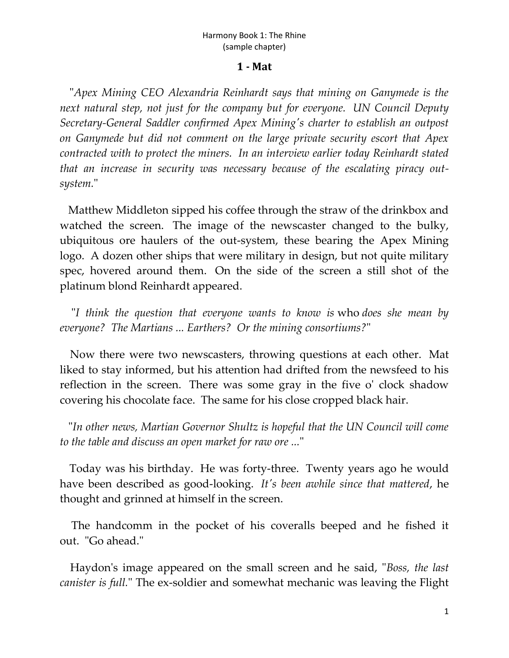## Harmony Book 1: The Rhine (sample chapter)

## **1 - Mat**

"*Apex Mining CEO Alexandria Reinhardt says that mining on Ganymede is the next natural step, not just for the company but for everyone. UN Council Deputy Secretary-General Saddler confirmed Apex Mining's charter to establish an outpost on Ganymede but did not comment on the large private security escort that Apex contracted with to protect the miners. In an interview earlier today Reinhardt stated that an increase in security was necessary because of the escalating piracy outsystem.*"

Matthew Middleton sipped his coffee through the straw of the drinkbox and watched the screen. The image of the newscaster changed to the bulky, ubiquitous ore haulers of the out-system, these bearing the Apex Mining logo. A dozen other ships that were military in design, but not quite military spec, hovered around them. On the side of the screen a still shot of the platinum blond Reinhardt appeared.

"*I think the question that everyone wants to know is* who *does she mean by everyone? The Martians ... Earthers? Or the mining consortiums?*"

Now there were two newscasters, throwing questions at each other. Mat liked to stay informed, but his attention had drifted from the newsfeed to his reflection in the screen. There was some gray in the five o' clock shadow covering his chocolate face. The same for his close cropped black hair.

"*In other news, Martian Governor Shultz is hopeful that the UN Council will come to the table and discuss an open market for raw ore ...*"

Today was his birthday. He was forty-three. Twenty years ago he would have been described as good-looking. *It's been awhile since that mattered*, he thought and grinned at himself in the screen.

The handcomm in the pocket of his coveralls beeped and he fished it out. "Go ahead."

Haydon's image appeared on the small screen and he said, "*Boss, the last canister is full.*" The ex-soldier and somewhat mechanic was leaving the Flight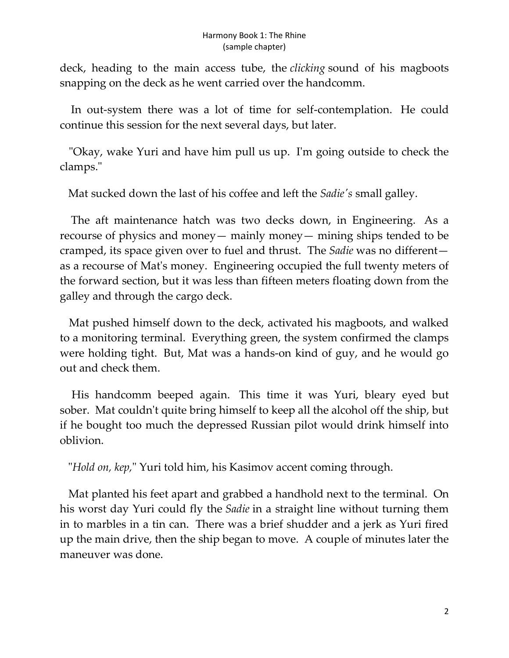deck, heading to the main access tube, the *clicking* sound of his magboots snapping on the deck as he went carried over the handcomm.

In out-system there was a lot of time for self-contemplation. He could continue this session for the next several days, but later.

"Okay, wake Yuri and have him pull us up. I'm going outside to check the clamps."

Mat sucked down the last of his coffee and left the *Sadie's* small galley.

The aft maintenance hatch was two decks down, in Engineering. As a recourse of physics and money— mainly money— mining ships tended to be cramped, its space given over to fuel and thrust. The *Sadie* was no different as a recourse of Mat's money. Engineering occupied the full twenty meters of the forward section, but it was less than fifteen meters floating down from the galley and through the cargo deck.

Mat pushed himself down to the deck, activated his magboots, and walked to a monitoring terminal. Everything green, the system confirmed the clamps were holding tight. But, Mat was a hands-on kind of guy, and he would go out and check them.

His handcomm beeped again. This time it was Yuri, bleary eyed but sober. Mat couldn't quite bring himself to keep all the alcohol off the ship, but if he bought too much the depressed Russian pilot would drink himself into oblivion.

"*Hold on, kep,*" Yuri told him, his Kasimov accent coming through.

Mat planted his feet apart and grabbed a handhold next to the terminal. On his worst day Yuri could fly the *Sadie* in a straight line without turning them in to marbles in a tin can. There was a brief shudder and a jerk as Yuri fired up the main drive, then the ship began to move. A couple of minutes later the maneuver was done.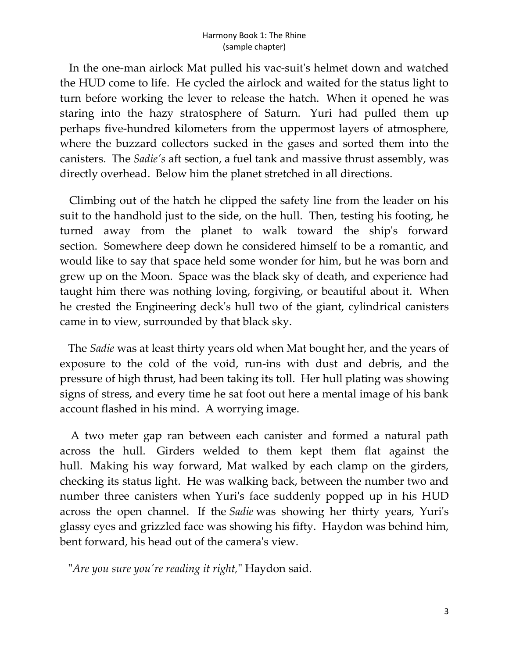In the one-man airlock Mat pulled his vac-suit's helmet down and watched the HUD come to life. He cycled the airlock and waited for the status light to turn before working the lever to release the hatch. When it opened he was staring into the hazy stratosphere of Saturn. Yuri had pulled them up perhaps five-hundred kilometers from the uppermost layers of atmosphere, where the buzzard collectors sucked in the gases and sorted them into the canisters. The *Sadie's* aft section, a fuel tank and massive thrust assembly, was directly overhead. Below him the planet stretched in all directions.

Climbing out of the hatch he clipped the safety line from the leader on his suit to the handhold just to the side, on the hull. Then, testing his footing, he turned away from the planet to walk toward the ship's forward section. Somewhere deep down he considered himself to be a romantic, and would like to say that space held some wonder for him, but he was born and grew up on the Moon. Space was the black sky of death, and experience had taught him there was nothing loving, forgiving, or beautiful about it. When he crested the Engineering deck's hull two of the giant, cylindrical canisters came in to view, surrounded by that black sky.

The *Sadie* was at least thirty years old when Mat bought her, and the years of exposure to the cold of the void, run-ins with dust and debris, and the pressure of high thrust, had been taking its toll. Her hull plating was showing signs of stress, and every time he sat foot out here a mental image of his bank account flashed in his mind. A worrying image.

A two meter gap ran between each canister and formed a natural path across the hull. Girders welded to them kept them flat against the hull. Making his way forward, Mat walked by each clamp on the girders, checking its status light. He was walking back, between the number two and number three canisters when Yuri's face suddenly popped up in his HUD across the open channel. If the *Sadie* was showing her thirty years, Yuri's glassy eyes and grizzled face was showing his fifty. Haydon was behind him, bent forward, his head out of the camera's view.

"*Are you sure you're reading it right,*" Haydon said.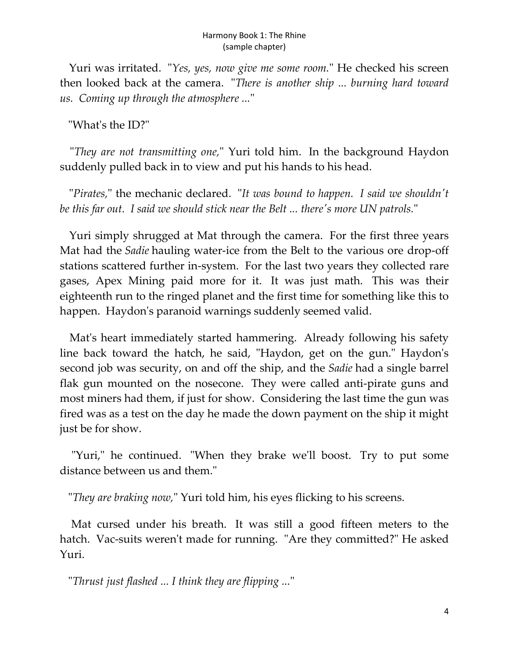Yuri was irritated. "*Yes, yes, now give me some room.*" He checked his screen then looked back at the camera. "*There is another ship ... burning hard toward us. Coming up through the atmosphere ...*"

"What's the ID?"

"*They are not transmitting one,*" Yuri told him. In the background Haydon suddenly pulled back in to view and put his hands to his head.

"*Pirates,*" the mechanic declared. "*It was bound to happen. I said we shouldn't be this far out. I said we should stick near the Belt ... there's more UN patrols.*"

Yuri simply shrugged at Mat through the camera. For the first three years Mat had the *Sadie* hauling water-ice from the Belt to the various ore drop-off stations scattered further in-system. For the last two years they collected rare gases, Apex Mining paid more for it. It was just math. This was their eighteenth run to the ringed planet and the first time for something like this to happen. Haydon's paranoid warnings suddenly seemed valid.

Mat's heart immediately started hammering. Already following his safety line back toward the hatch, he said, "Haydon, get on the gun." Haydon's second job was security, on and off the ship, and the *Sadie* had a single barrel flak gun mounted on the nosecone. They were called anti-pirate guns and most miners had them, if just for show. Considering the last time the gun was fired was as a test on the day he made the down payment on the ship it might just be for show.

"Yuri," he continued. "When they brake we'll boost. Try to put some distance between us and them."

"*They are braking now,*" Yuri told him, his eyes flicking to his screens.

Mat cursed under his breath. It was still a good fifteen meters to the hatch. Vac-suits weren't made for running. "Are they committed?" He asked Yuri.

"*Thrust just flashed ... I think they are flipping ...*"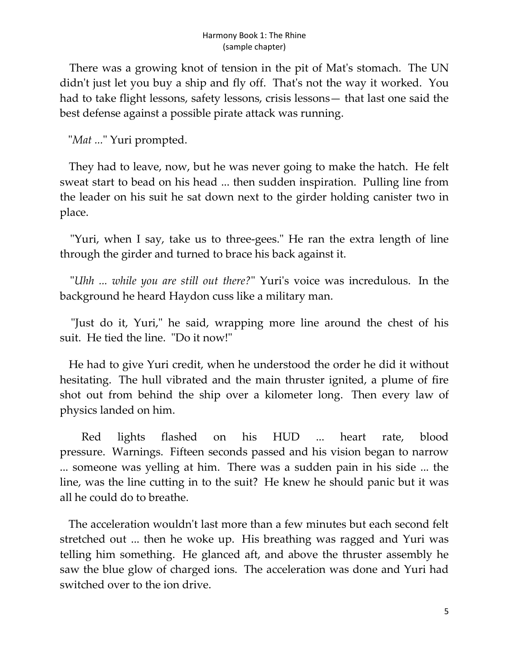There was a growing knot of tension in the pit of Mat's stomach. The UN didn't just let you buy a ship and fly off. That's not the way it worked. You had to take flight lessons, safety lessons, crisis lessons— that last one said the best defense against a possible pirate attack was running.

"*Mat ...*" Yuri prompted.

They had to leave, now, but he was never going to make the hatch. He felt sweat start to bead on his head ... then sudden inspiration. Pulling line from the leader on his suit he sat down next to the girder holding canister two in place.

"Yuri, when I say, take us to three-gees." He ran the extra length of line through the girder and turned to brace his back against it.

"*Uhh ... while you are still out there?*" Yuri's voice was incredulous. In the background he heard Haydon cuss like a military man.

"Just do it, Yuri," he said, wrapping more line around the chest of his suit. He tied the line. "Do it now!"

He had to give Yuri credit, when he understood the order he did it without hesitating. The hull vibrated and the main thruster ignited, a plume of fire shot out from behind the ship over a kilometer long. Then every law of physics landed on him.

Red lights flashed on his HUD ... heart rate, blood pressure. Warnings. Fifteen seconds passed and his vision began to narrow ... someone was yelling at him. There was a sudden pain in his side ... the line, was the line cutting in to the suit? He knew he should panic but it was all he could do to breathe.

The acceleration wouldn't last more than a few minutes but each second felt stretched out ... then he woke up. His breathing was ragged and Yuri was telling him something. He glanced aft, and above the thruster assembly he saw the blue glow of charged ions. The acceleration was done and Yuri had switched over to the ion drive.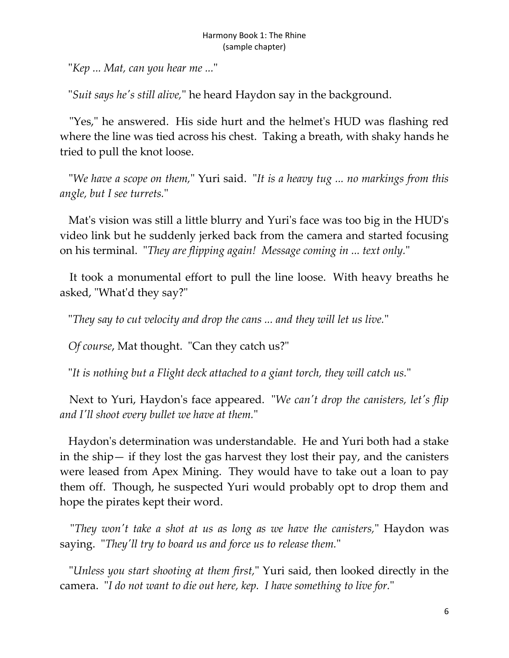"*Kep ... Mat, can you hear me ...*"

"*Suit says he's still alive,*" he heard Haydon say in the background.

"Yes," he answered. His side hurt and the helmet's HUD was flashing red where the line was tied across his chest. Taking a breath, with shaky hands he tried to pull the knot loose.

"*We have a scope on them,*" Yuri said. "*It is a heavy tug ... no markings from this angle, but I see turrets.*"

Mat's vision was still a little blurry and Yuri's face was too big in the HUD's video link but he suddenly jerked back from the camera and started focusing on his terminal. "*They are flipping again! Message coming in ... text only.*"

It took a monumental effort to pull the line loose. With heavy breaths he asked, "What'd they say?"

"*They say to cut velocity and drop the cans ... and they will let us live.*"

*Of course*, Mat thought. "Can they catch us?"

"*It is nothing but a Flight deck attached to a giant torch, they will catch us.*"

Next to Yuri, Haydon's face appeared. "*We can't drop the canisters, let's flip and I'll shoot every bullet we have at them.*"

Haydon's determination was understandable. He and Yuri both had a stake in the ship— if they lost the gas harvest they lost their pay, and the canisters were leased from Apex Mining. They would have to take out a loan to pay them off. Though, he suspected Yuri would probably opt to drop them and hope the pirates kept their word.

"*They won't take a shot at us as long as we have the canisters,*" Haydon was saying. "*They'll try to board us and force us to release them.*"

"*Unless you start shooting at them first,*" Yuri said, then looked directly in the camera. "*I do not want to die out here, kep. I have something to live for.*"